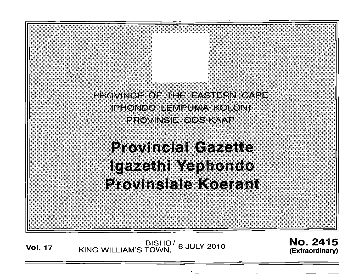PROVINCE OF THE EASTERN CAPE **IPHONDO LEMPUMA KOLONI** PROVINSIE OOS KAAP

**Provincial Gazette** Igazethi Yephondo **Provinsiale Koerant** 

Vol. <sup>17</sup> BISHO/ KING WILLIAM'S TOWN, 6 JULY 2010

No. 2415 **(Extraordinary)**